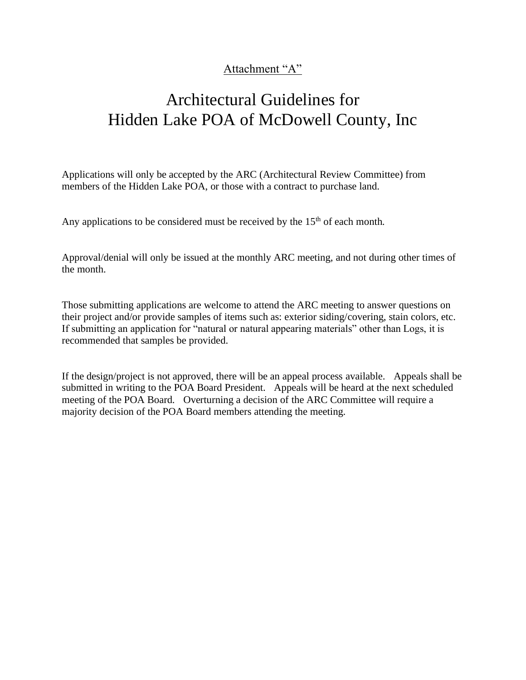## Attachment "A"

# Architectural Guidelines for Hidden Lake POA of McDowell County, Inc

Applications will only be accepted by the ARC (Architectural Review Committee) from members of the Hidden Lake POA, or those with a contract to purchase land.

Any applications to be considered must be received by the  $15<sup>th</sup>$  of each month.

Approval/denial will only be issued at the monthly ARC meeting, and not during other times of the month.

Those submitting applications are welcome to attend the ARC meeting to answer questions on their project and/or provide samples of items such as: exterior siding/covering, stain colors, etc. If submitting an application for "natural or natural appearing materials" other than Logs, it is recommended that samples be provided.

If the design/project is not approved, there will be an appeal process available. Appeals shall be submitted in writing to the POA Board President. Appeals will be heard at the next scheduled meeting of the POA Board. Overturning a decision of the ARC Committee will require a majority decision of the POA Board members attending the meeting.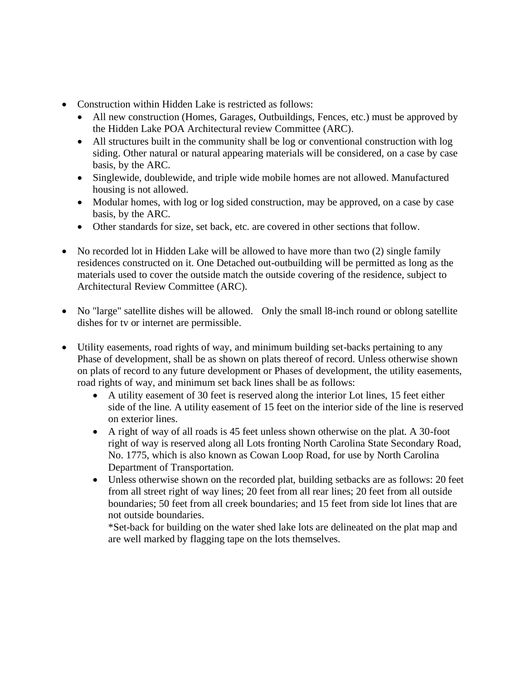- Construction within Hidden Lake is restricted as follows:
	- All new construction (Homes, Garages, Outbuildings, Fences, etc.) must be approved by the Hidden Lake POA Architectural review Committee (ARC).
	- All structures built in the community shall be log or conventional construction with log siding. Other natural or natural appearing materials will be considered, on a case by case basis, by the ARC.
	- Singlewide, doublewide, and triple wide mobile homes are not allowed. Manufactured housing is not allowed.
	- Modular homes, with log or log sided construction, may be approved, on a case by case basis, by the ARC.
	- Other standards for size, set back, etc. are covered in other sections that follow.
- No recorded lot in Hidden Lake will be allowed to have more than two (2) single family residences constructed on it. One Detached out-outbuilding will be permitted as long as the materials used to cover the outside match the outside covering of the residence, subject to Architectural Review Committee (ARC).
- No "large" satellite dishes will be allowed. Only the small 18-inch round or oblong satellite dishes for tv or internet are permissible.
- Utility easements, road rights of way, and minimum building set-backs pertaining to any Phase of development, shall be as shown on plats thereof of record. Unless otherwise shown on plats of record to any future development or Phases of development, the utility easements, road rights of way, and minimum set back lines shall be as follows:
	- A utility easement of 30 feet is reserved along the interior Lot lines, 15 feet either side of the line. A utility easement of 15 feet on the interior side of the line is reserved on exterior lines.
	- A right of way of all roads is 45 feet unless shown otherwise on the plat. A 30-foot right of way is reserved along all Lots fronting North Carolina State Secondary Road, No. 1775, which is also known as Cowan Loop Road, for use by North Carolina Department of Transportation.
	- Unless otherwise shown on the recorded plat, building setbacks are as follows: 20 feet from all street right of way lines; 20 feet from all rear lines; 20 feet from all outside boundaries; 50 feet from all creek boundaries; and 15 feet from side lot lines that are not outside boundaries.

\*Set-back for building on the water shed lake lots are delineated on the plat map and are well marked by flagging tape on the lots themselves.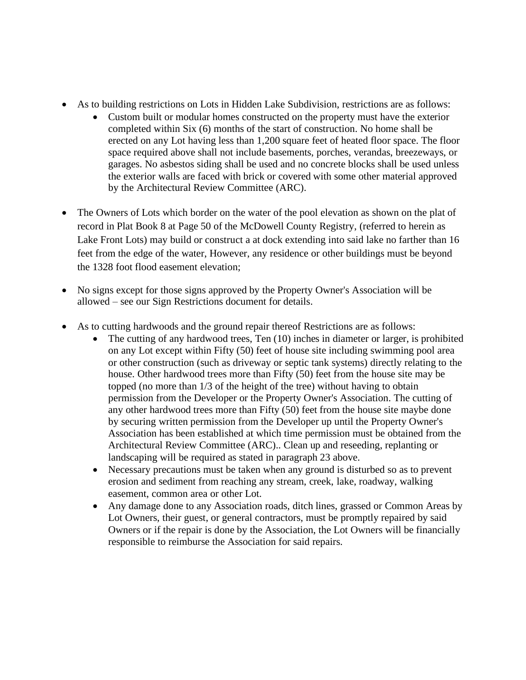- As to building restrictions on Lots in Hidden Lake Subdivision, restrictions are as follows:
	- Custom built or modular homes constructed on the property must have the exterior completed within Six (6) months of the start of construction. No home shall be erected on any Lot having less than 1,200 square feet of heated floor space. The floor space required above shall not include basements, porches, verandas, breezeways, or garages. No asbestos siding shall be used and no concrete blocks shall be used unless the exterior walls are faced with brick or covered with some other material approved by the Architectural Review Committee (ARC).
- The Owners of Lots which border on the water of the pool elevation as shown on the plat of record in Plat Book 8 at Page 50 of the McDowell County Registry, (referred to herein as Lake Front Lots) may build or construct a at dock extending into said lake no farther than 16 feet from the edge of the water, However, any residence or other buildings must be beyond the 1328 foot flood easement elevation;
- No signs except for those signs approved by the Property Owner's Association will be allowed – see our Sign Restrictions document for details.
- As to cutting hardwoods and the ground repair thereof Restrictions are as follows:
	- The cutting of any hardwood trees, Ten (10) inches in diameter or larger, is prohibited on any Lot except within Fifty (50) feet of house site including swimming pool area or other construction (such as driveway or septic tank systems) directly relating to the house. Other hardwood trees more than Fifty (50) feet from the house site may be topped (no more than 1/3 of the height of the tree) without having to obtain permission from the Developer or the Property Owner's Association. The cutting of any other hardwood trees more than Fifty (50) feet from the house site maybe done by securing written permission from the Developer up until the Property Owner's Association has been established at which time permission must be obtained from the Architectural Review Committee (ARC).. Clean up and reseeding, replanting or landscaping will be required as stated in paragraph 23 above.
	- Necessary precautions must be taken when any ground is disturbed so as to prevent erosion and sediment from reaching any stream, creek, lake, roadway, walking easement, common area or other Lot.
	- Any damage done to any Association roads, ditch lines, grassed or Common Areas by Lot Owners, their guest, or general contractors, must be promptly repaired by said Owners or if the repair is done by the Association, the Lot Owners will be financially responsible to reimburse the Association for said repairs.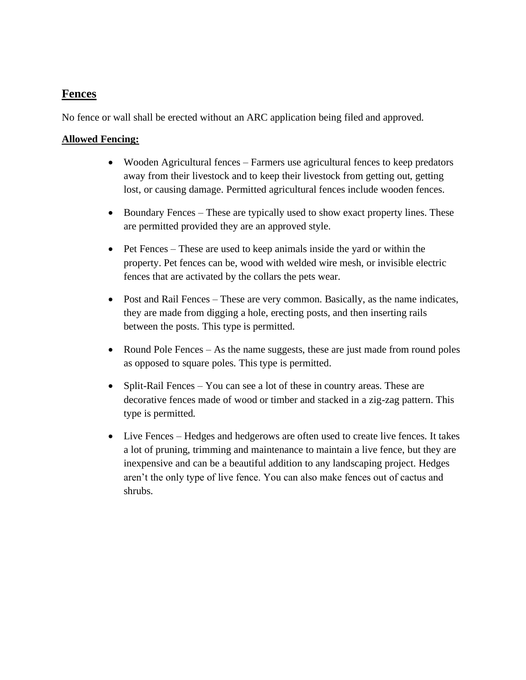### **Fences**

No fence or wall shall be erected without an ARC application being filed and approved.

#### **Allowed Fencing:**

- Wooden Agricultural fences Farmers use agricultural fences to keep predators away from their livestock and to keep their livestock from getting out, getting lost, or causing damage. Permitted agricultural fences include wooden fences.
- Boundary Fences These are typically used to show exact property lines. These are permitted provided they are an approved style.
- Pet Fences These are used to keep animals inside the yard or within the property. Pet fences can be, wood with welded wire mesh, or invisible electric fences that are activated by the collars the pets wear.
- Post and Rail Fences These are very common. Basically, as the name indicates, they are made from digging a hole, erecting posts, and then inserting rails between the posts. This type is permitted.
- Round Pole Fences As the name suggests, these are just made from round poles as opposed to square poles. This type is permitted.
- Split-Rail Fences You can see a lot of these in country areas. These are decorative fences made of wood or timber and stacked in a zig-zag pattern. This type is permitted.
- Live Fences Hedges and hedgerows are often used to create live fences. It takes a lot of pruning, trimming and maintenance to maintain a live fence, but they are inexpensive and can be a beautiful addition to any landscaping project. Hedges aren't the only type of live fence. You can also make fences out of cactus and shrubs.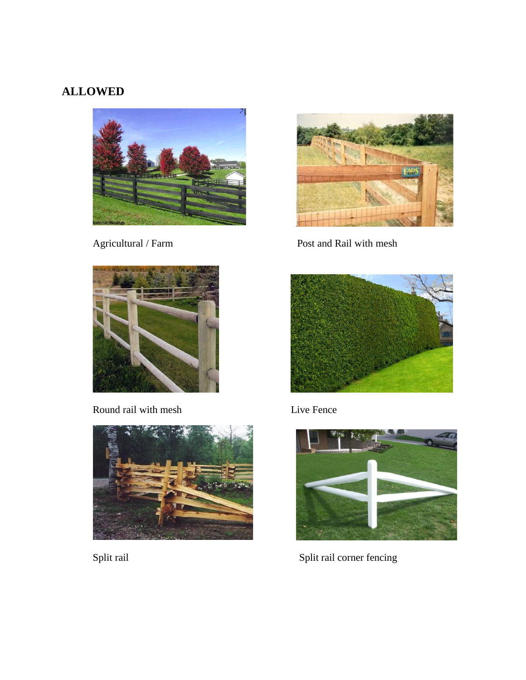# **ALLOWED**





Agricultural / Farm Post and Rail with mesh



Round rail with mesh Live Fence







Split rail Split rail corner fencing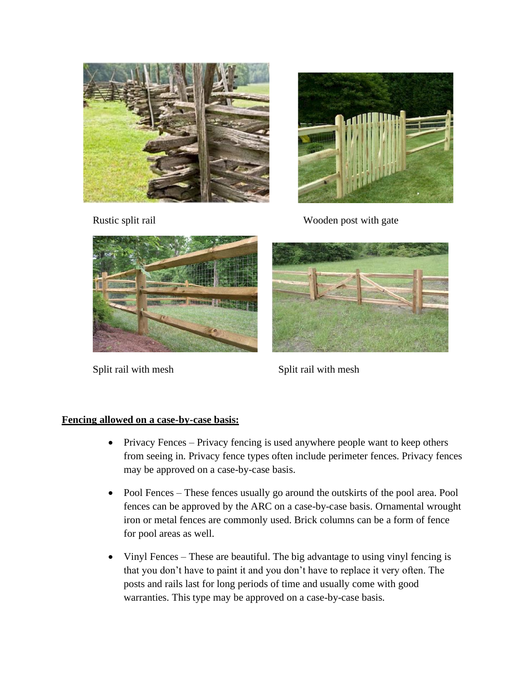



Rustic split rail Wooden post with gate



Split rail with mesh Split rail with mesh



### **Fencing allowed on a case-by-case basis:**

- Privacy Fences Privacy fencing is used anywhere people want to keep others from seeing in. Privacy fence types often include perimeter fences. Privacy fences may be approved on a case-by-case basis.
- Pool Fences These fences usually go around the outskirts of the pool area. Pool fences can be approved by the ARC on a case-by-case basis. Ornamental wrought iron or metal fences are commonly used. Brick columns can be a form of fence for pool areas as well.
- Vinyl Fences These are beautiful. The big advantage to using vinyl fencing is that you don't have to paint it and you don't have to replace it very often. The posts and rails last for long periods of time and usually come with good warranties. This type may be approved on a case-by-case basis.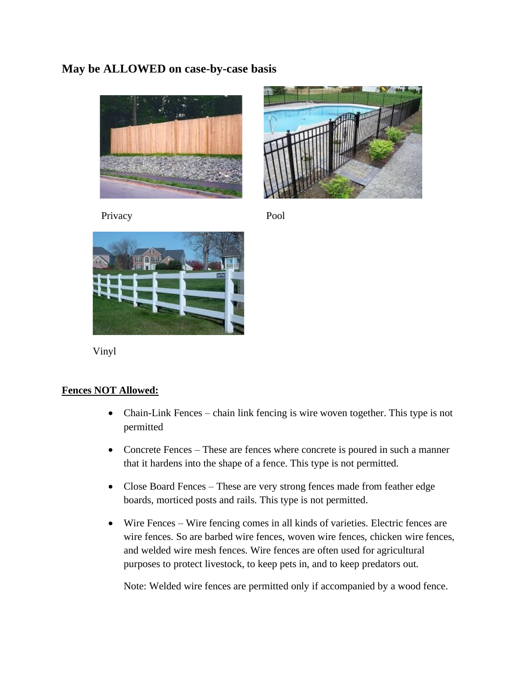### **May be ALLOWED on case-by-case basis**





Privacy Pool



Vinyl

### **Fences NOT Allowed:**

- Chain-Link Fences chain link fencing is wire woven together. This type is not permitted
- Concrete Fences These are fences where concrete is poured in such a manner that it hardens into the shape of a fence. This type is not permitted.
- Close Board Fences These are very strong fences made from feather edge boards, morticed posts and rails. This type is not permitted.
- Wire Fences Wire fencing comes in all kinds of varieties. Electric fences are wire fences. So are barbed wire fences, woven wire fences, chicken wire fences, and welded wire mesh fences. Wire fences are often used for agricultural purposes to protect livestock, to keep pets in, and to keep predators out.

Note: Welded wire fences are permitted only if accompanied by a wood fence.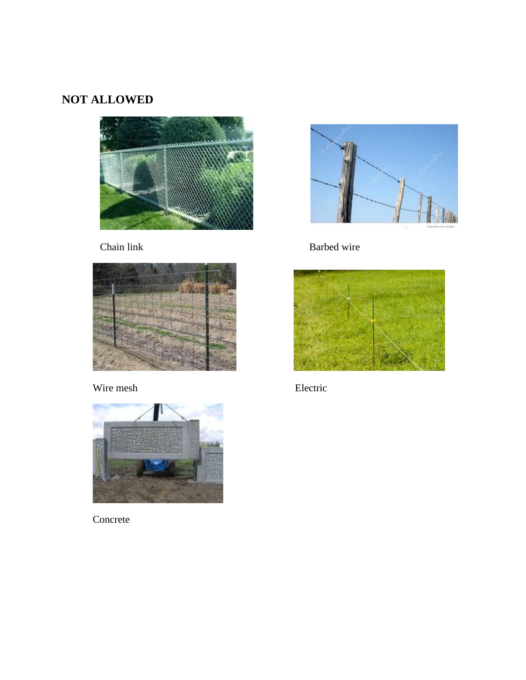# **NOT ALLOWED**





# Wire mesh Electric



Concrete



Chain link Barbed wire